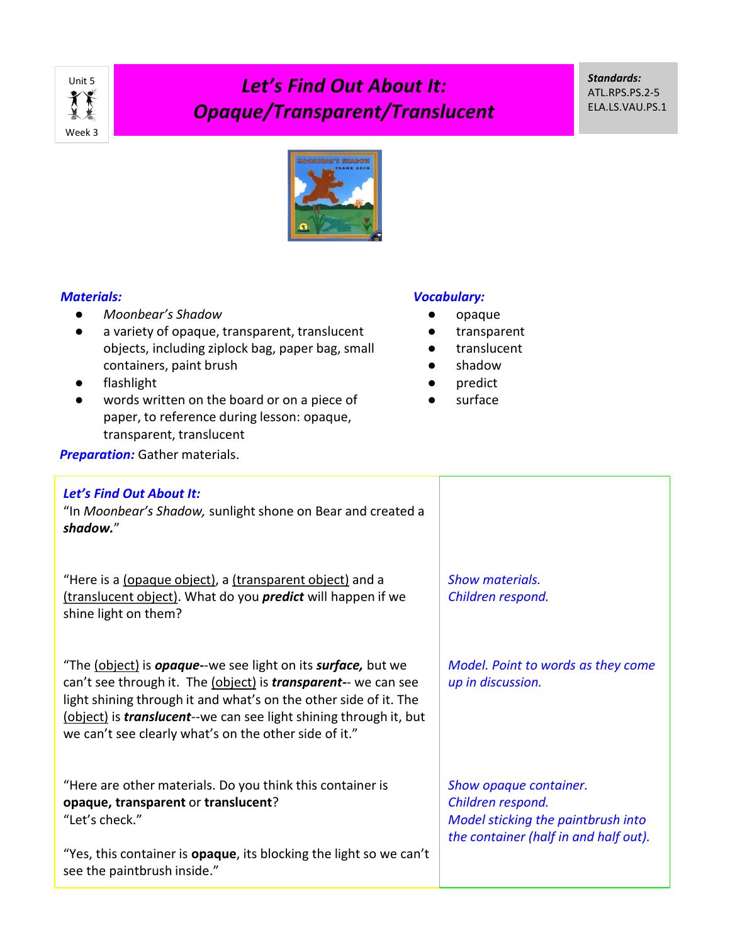

*Standards:* ATL.RPS.PS.2-5 ELA.LS.VAU.PS.1



## *Materials:*

- *Moonbear's Shadow*
- a variety of opaque, transparent, translucent objects, including ziplock bag, paper bag, small containers, paint brush
- flashlight
- words written on the board or on a piece of paper, to reference during lesson: opaque, transparent, translucent

## *Vocabulary:*

- opaque
- transparent
- translucent
- shadow
- predict
- surface

**Preparation:** Gather materials.

## *Let's Find Out About It:*

"In *Moonbear's Shadow,* sunlight shone on Bear and created a *shadow.*"

"Here is a (opaque object), a (transparent object) and a (translucent object). What do you *predict* will happen if we shine light on them?

"The (object) is *opaque-*-we see light on its *surface,* but we can't see through it. The (object) is *transparent-*- we can see light shining through it and what's on the other side of it. The (object) is *translucent*--we can see light shining through it, but we can't see clearly what's on the other side of it."

"Here are other materials. Do you think this container is **opaque, transparent** or **translucent**? "Let's check."

"Yes, this container is **opaque**, its blocking the light so we can't see the paintbrush inside."

*Show materials. Children respond.*

*Model. Point to words as they come up in discussion.* 

*Show opaque container. Children respond. Model sticking the paintbrush into the container (half in and half out).*